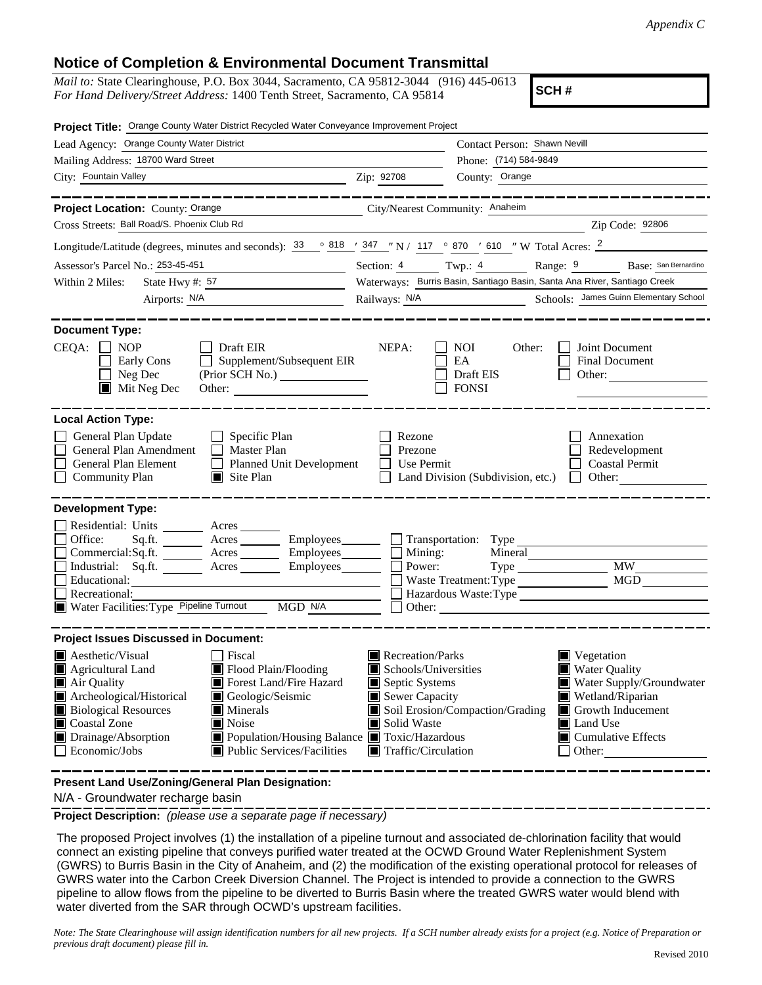## **Notice of Completion & Environmental Document Transmittal**

*Mail to:* State Clearinghouse, P.O. Box 3044, Sacramento, CA 95812-3044 (916) 445-0613 *For Hand Delivery/Street Address:* 1400 Tenth Street, Sacramento, CA 95814

**SCH #**

| Project Title: Orange County Water District Recycled Water Conveyance Improvement Project                                                                                                                                             |                                                                                                                                                                                                     |                                                                                                                                                                                                                                                                                                                                         |                                                         |                                                                                |  |
|---------------------------------------------------------------------------------------------------------------------------------------------------------------------------------------------------------------------------------------|-----------------------------------------------------------------------------------------------------------------------------------------------------------------------------------------------------|-----------------------------------------------------------------------------------------------------------------------------------------------------------------------------------------------------------------------------------------------------------------------------------------------------------------------------------------|---------------------------------------------------------|--------------------------------------------------------------------------------|--|
| Lead Agency: Orange County Water District                                                                                                                                                                                             |                                                                                                                                                                                                     | Contact Person: Shawn Nevill                                                                                                                                                                                                                                                                                                            |                                                         |                                                                                |  |
| Mailing Address: 18700 Ward Street                                                                                                                                                                                                    |                                                                                                                                                                                                     |                                                                                                                                                                                                                                                                                                                                         | Phone: (714) 584-9849                                   |                                                                                |  |
| City: Fountain Valley                                                                                                                                                                                                                 |                                                                                                                                                                                                     | Zip: 92708                                                                                                                                                                                                                                                                                                                              | County: Orange                                          |                                                                                |  |
|                                                                                                                                                                                                                                       |                                                                                                                                                                                                     |                                                                                                                                                                                                                                                                                                                                         |                                                         | ---------------                                                                |  |
| Project Location: County: Orange                                                                                                                                                                                                      | City/Nearest Community: Anaheim                                                                                                                                                                     |                                                                                                                                                                                                                                                                                                                                         |                                                         |                                                                                |  |
| Cross Streets: Ball Road/S. Phoenix Club Rd                                                                                                                                                                                           |                                                                                                                                                                                                     |                                                                                                                                                                                                                                                                                                                                         |                                                         | Zip Code: 92806                                                                |  |
| Longitude/Latitude (degrees, minutes and seconds): $\frac{33}{9}$ $\frac{818}{1}$ $\frac{1}{2}$ $\frac{347}{1}$ $\frac{1}{2}$ N / 117 $\degree$ 870 $\degree$ 610 $\degree$ W Total Acres: $\frac{2}{1}$                              |                                                                                                                                                                                                     |                                                                                                                                                                                                                                                                                                                                         |                                                         |                                                                                |  |
| Assessor's Parcel No.: 253-45-451<br><u> 1980 - Johann Barn, mars eta bainar eta i</u>                                                                                                                                                |                                                                                                                                                                                                     |                                                                                                                                                                                                                                                                                                                                         |                                                         | Section: 4 Twp.: 4 Range: 9 Base: San Bernardino                               |  |
| State Hwy #: $57$<br>Within 2 Miles:                                                                                                                                                                                                  |                                                                                                                                                                                                     | Waterways: Burris Basin, Santiago Basin, Santa Ana River, Santiago Creek                                                                                                                                                                                                                                                                |                                                         |                                                                                |  |
| Airports: N/A<br><u> 1989 - Johann Barbara, martxa a</u>                                                                                                                                                                              |                                                                                                                                                                                                     | Railways: N/A                                                                                                                                                                                                                                                                                                                           |                                                         | Schools: James Guinn Elementary School                                         |  |
| <b>Document Type:</b><br>CEQA:<br><b>NOP</b><br>Early Cons<br>Neg Dec<br>$\blacksquare$ Mit Neg Dec                                                                                                                                   | Draft EIR<br>Supplement/Subsequent EIR<br>Other:                                                                                                                                                    | NEPA:                                                                                                                                                                                                                                                                                                                                   | <b>NOI</b><br>Other:<br>EA<br>Draft EIS<br><b>FONSI</b> | Joint Document<br>Final Document<br>Other:                                     |  |
| <b>Local Action Type:</b><br>General Plan Update<br>General Plan Amendment<br>General Plan Element<br>$\Box$<br><b>Community Plan</b>                                                                                                 | Specific Plan<br>Master Plan<br><b>Planned Unit Development</b><br>$\Box$ Site Plan                                                                                                                 | Rezone<br>Prezone<br>Use Permit                                                                                                                                                                                                                                                                                                         | Land Division (Subdivision, etc.)                       | Annexation<br>Redevelopment<br><b>Coastal Permit</b><br>Other:<br>$\mathbf{I}$ |  |
| <b>Development Type:</b>                                                                                                                                                                                                              |                                                                                                                                                                                                     |                                                                                                                                                                                                                                                                                                                                         |                                                         |                                                                                |  |
| Residential: Units ________ Acres ______<br>Office:<br>Sq.ft.<br>Commercial:Sq.ft. _______ Acres ________ Employees_______<br>Industrial: $Sq.fit.$ Acres<br>Educational:<br>Recreational:<br>Water Facilities: Type Pipeline Turnout | Acres Employees Transportation: Type<br>Employees_______<br>MGD N/A                                                                                                                                 | $\Box$ Mining:<br>Power:                                                                                                                                                                                                                                                                                                                | Mineral<br>Waste Treatment: Type                        | <b>MW</b><br>MGD<br>Hazardous Waste:Type<br>Other:                             |  |
| <b>Project Issues Discussed in Document:</b>                                                                                                                                                                                          |                                                                                                                                                                                                     |                                                                                                                                                                                                                                                                                                                                         |                                                         |                                                                                |  |
| <b>Aesthetic/Visual</b><br>Agricultural Land<br>$\blacksquare$ Air Quality<br>Archeological/Historical<br><b>Biological Resources</b><br>Coastal Zone<br>Drainage/Absorption<br>Economic/Jobs                                         | Fiscal<br>Flood Plain/Flooding<br>Forest Land/Fire Hazard<br>Geologic/Seismic<br>$\blacksquare$ Minerals<br>Noise<br>■ Population/Housing Balance ■ Toxic/Hazardous<br>■ Public Services/Facilities | Recreation/Parks<br>■ Vegetation<br>■ Water Quality<br>Schools/Universities<br>Septic Systems<br>Water Supply/Groundwater<br>Sewer Capacity<br>Wetland/Riparian<br>Soil Erosion/Compaction/Grading<br>Growth Inducement<br>Solid Waste<br>Land Use<br>$\blacksquare$ Cumulative Effects<br>$\blacksquare$ Traffic/Circulation<br>Other: |                                                         |                                                                                |  |
| Present Land Use/Zoning/General Plan Designation:                                                                                                                                                                                     |                                                                                                                                                                                                     |                                                                                                                                                                                                                                                                                                                                         | ------                                                  |                                                                                |  |

N/A - Groundwater recharge basin

**Project Description:** *(please use a separate page if necessary)*

 The proposed Project involves (1) the installation of a pipeline turnout and associated de-chlorination facility that would connect an existing pipeline that conveys purified water treated at the OCWD Ground Water Replenishment System (GWRS) to Burris Basin in the City of Anaheim, and (2) the modification of the existing operational protocol for releases of GWRS water into the Carbon Creek Diversion Channel. The Project is intended to provide a connection to the GWRS pipeline to allow flows from the pipeline to be diverted to Burris Basin where the treated GWRS water would blend with water diverted from the SAR through OCWD's upstream facilities.

*Note: The State Clearinghouse will assign identification numbers for all new projects. If a SCH number already exists for a project (e.g. Notice of Preparation or previous draft document) please fill in.*